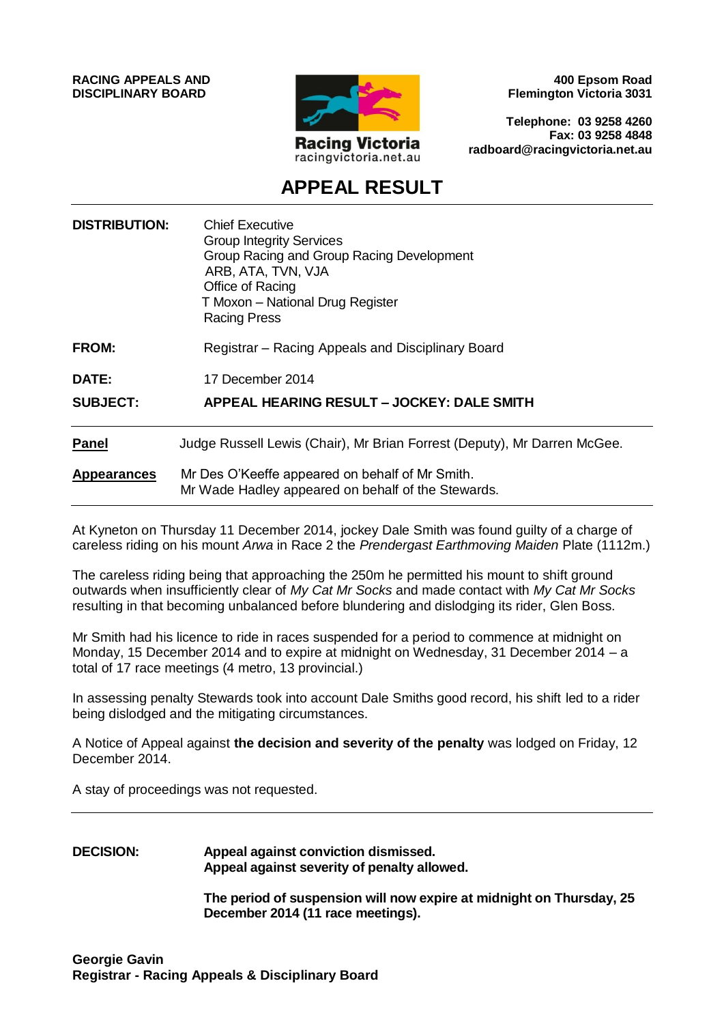**RACING APPEALS AND DISCIPLINARY BOARD**



**400 Epsom Road Flemington Victoria 3031**

**Telephone: 03 9258 4260 Fax: 03 9258 4848 radboard@racingvictoria.net.au**

# **APPEAL RESULT**

| <b>DISTRIBUTION:</b> | <b>Chief Executive</b><br><b>Group Integrity Services</b><br>Group Racing and Group Racing Development<br>ARB, ATA, TVN, VJA<br>Office of Racing<br>T Moxon - National Drug Register<br><b>Racing Press</b> |
|----------------------|-------------------------------------------------------------------------------------------------------------------------------------------------------------------------------------------------------------|
| <b>FROM:</b>         | Registrar – Racing Appeals and Disciplinary Board                                                                                                                                                           |
| DATE:                | 17 December 2014                                                                                                                                                                                            |
| <b>SUBJECT:</b>      | APPEAL HEARING RESULT - JOCKEY: DALE SMITH                                                                                                                                                                  |
| <b>Panel</b>         | Judge Russell Lewis (Chair), Mr Brian Forrest (Deputy), Mr Darren McGee.                                                                                                                                    |
| <b>Appearances</b>   | Mr Des O'Keeffe appeared on behalf of Mr Smith.<br>Mr Wade Hadley appeared on behalf of the Stewards.                                                                                                       |

At Kyneton on Thursday 11 December 2014, jockey Dale Smith was found guilty of a charge of careless riding on his mount *Arwa* in Race 2 the *Prendergast Earthmoving Maiden* Plate (1112m.)

The careless riding being that approaching the 250m he permitted his mount to shift ground outwards when insufficiently clear of *My Cat Mr Socks* and made contact with *My Cat Mr Socks* resulting in that becoming unbalanced before blundering and dislodging its rider, Glen Boss.

Mr Smith had his licence to ride in races suspended for a period to commence at midnight on Monday, 15 December 2014 and to expire at midnight on Wednesday, 31 December 2014 – a total of 17 race meetings (4 metro, 13 provincial.)

In assessing penalty Stewards took into account Dale Smiths good record, his shift led to a rider being dislodged and the mitigating circumstances.

A Notice of Appeal against **the decision and severity of the penalty** was lodged on Friday, 12 December 2014.

A stay of proceedings was not requested.

**DECISION: Appeal against conviction dismissed. Appeal against severity of penalty allowed.**

> **The period of suspension will now expire at midnight on Thursday, 25 December 2014 (11 race meetings).**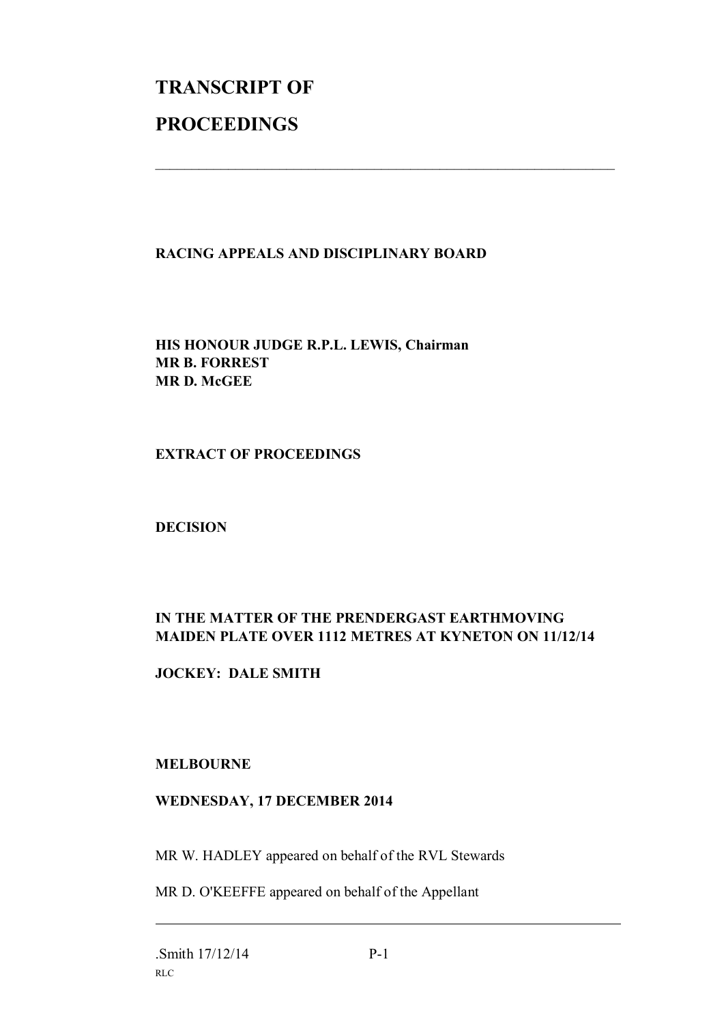# **TRANSCRIPT OF PROCEEDINGS**

## **RACING APPEALS AND DISCIPLINARY BOARD**

 $\mathcal{L}_\text{max}$  , and the contribution of the contribution of the contribution of the contribution of the contribution of the contribution of the contribution of the contribution of the contribution of the contribution of t

**HIS HONOUR JUDGE R.P.L. LEWIS, Chairman MR B. FORREST MR D. McGEE**

**EXTRACT OF PROCEEDINGS**

**DECISION**

# **IN THE MATTER OF THE PRENDERGAST EARTHMOVING MAIDEN PLATE OVER 1112 METRES AT KYNETON ON 11/12/14**

**JOCKEY: DALE SMITH**

### **MELBOURNE**

### **WEDNESDAY, 17 DECEMBER 2014**

MR W. HADLEY appeared on behalf of the RVL Stewards

MR D. O'KEEFFE appeared on behalf of the Appellant